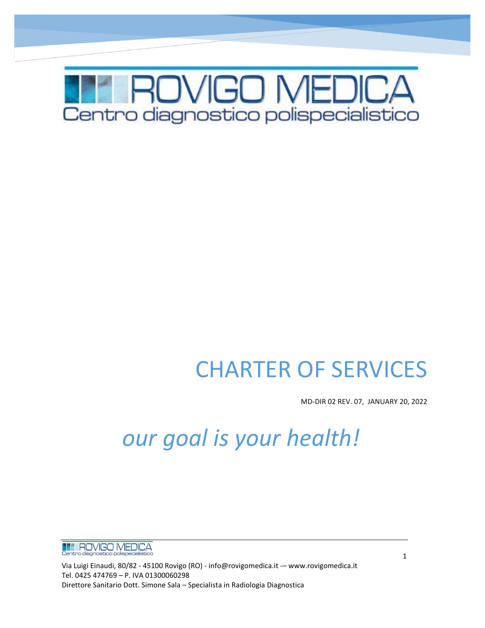

# CHARTER OF SERVICES

MD-DIR 02 REV. 07, JANUARY 20, 2022

# *our goal is your health!*

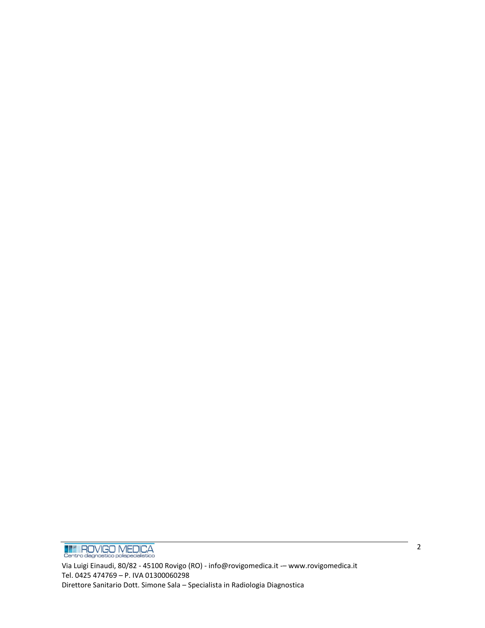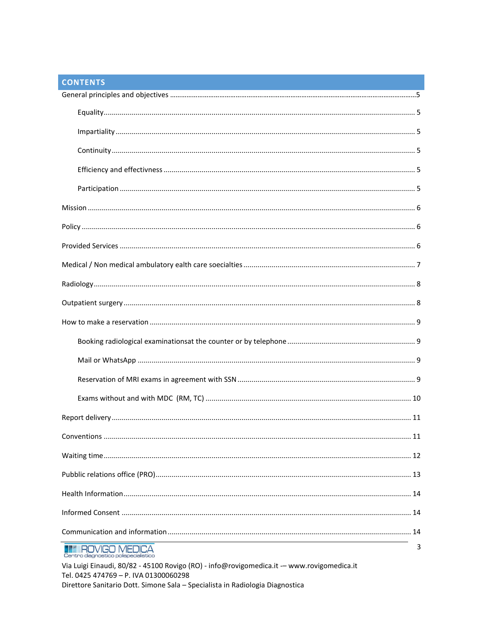| <b>CONTENTS</b>                                       |   |
|-------------------------------------------------------|---|
|                                                       |   |
|                                                       |   |
|                                                       |   |
|                                                       |   |
|                                                       |   |
|                                                       |   |
|                                                       |   |
|                                                       |   |
|                                                       |   |
|                                                       |   |
|                                                       |   |
|                                                       |   |
|                                                       |   |
|                                                       |   |
|                                                       |   |
|                                                       |   |
|                                                       |   |
|                                                       |   |
|                                                       |   |
|                                                       |   |
|                                                       |   |
|                                                       |   |
|                                                       |   |
|                                                       |   |
| ROVIGO MEDICA<br>Centro diagnostico polispecialistico | 3 |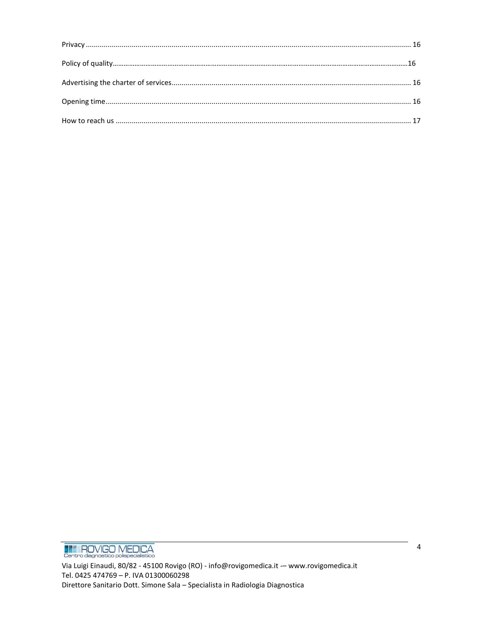**CONGO MEDICA**<br>Centro diagnostico polispecialistico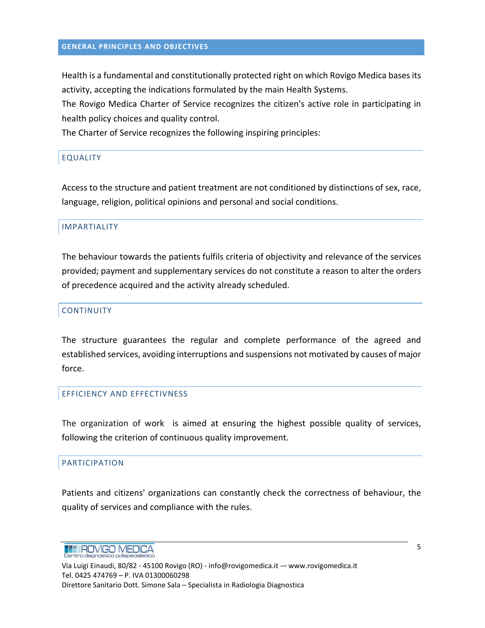<span id="page-4-0"></span>Health is a fundamental and constitutionally protected right on which Rovigo Medica basesits activity, accepting the indications formulated by the main Health Systems.

The Rovigo Medica Charter of Service recognizes the citizen's active role in participating in health policy choices and quality control.

<span id="page-4-1"></span>The Charter of Service recognizes the following inspiring principles:

# EQUALITY

Access to the structure and patient treatment are not conditioned by distinctions of sex, race, language, religion, political opinions and personal and social conditions.

# <span id="page-4-2"></span>IMPARTIALITY

The behaviour towards the patients fulfils criteria of objectivity and relevance of the services provided; payment and supplementary services do not constitute a reason to alter the orders of precedence acquired and the activity already scheduled.

# <span id="page-4-3"></span>**CONTINUITY**

The structure guarantees the regular and complete performance of the agreed and established services, avoiding interruptions and suspensions not motivated by causes of major force.

# <span id="page-4-4"></span>EFFICIENCY AND EFFECTIVNESS

The organization of work is aimed at ensuring the highest possible quality of services, following the criterion of continuous quality improvement.

## <span id="page-4-5"></span>PARTICIPATION

Patients and citizens' organizations can constantly check the correctness of behaviour, the quality of services and compliance with the rules.

#### **THEROVIGO MEDICA** Centro diagnostico polispecialis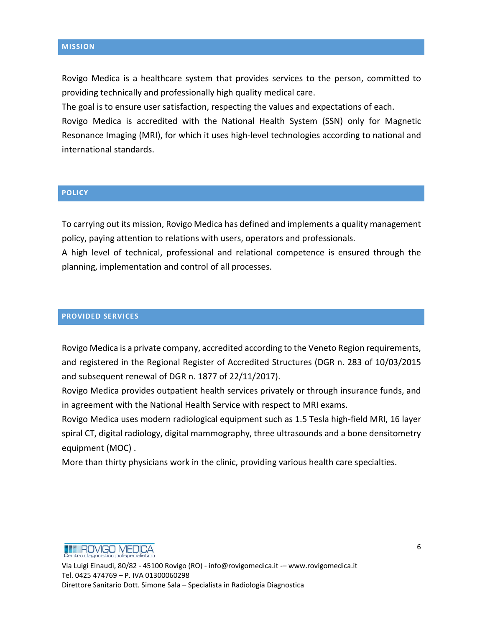<span id="page-5-0"></span>Rovigo Medica is a healthcare system that provides services to the person, committed to providing technically and professionally high quality medical care.

The goal is to ensure user satisfaction, respecting the values and expectations of each.

Rovigo Medica is accredited with the National Health System (SSN) only for Magnetic Resonance Imaging (MRI), for which it uses high-level technologies according to national and international standards.

## <span id="page-5-1"></span>**POLICY**

To carrying out its mission, Rovigo Medica has defined and implements a quality management policy, paying attention to relations with users, operators and professionals.

A high level of technical, professional and relational competence is ensured through the planning, implementation and control of all processes.

## <span id="page-5-2"></span>**PROVIDED SERVICES**

Rovigo Medica is a private company, accredited according to the Veneto Region requirements, and registered in the Regional Register of Accredited Structures (DGR n. 283 of 10/03/2015 and subsequent renewal of DGR n. 1877 of 22/11/2017).

Rovigo Medica provides outpatient health services privately or through insurance funds, and in agreement with the National Health Service with respect to MRI exams.

Rovigo Medica uses modern radiological equipment such as 1.5 Tesla high-field MRI, 16 layer spiral CT, digital radiology, digital mammography, three ultrasounds and a bone densitometry equipment (MOC) .

More than thirty physicians work in the clinic, providing various health care specialties.

#### **THE ROVIGO MEDICA** Centro diagnostico polispecial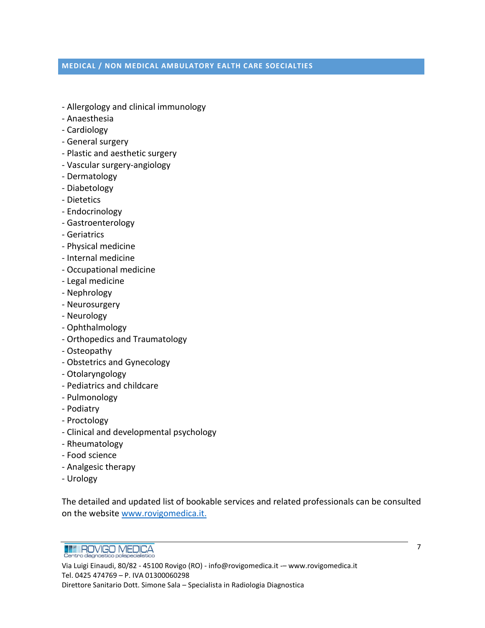# <span id="page-6-0"></span>**MEDICAL / NON MEDICAL AMBULATORY EALTH CARE SOECIALTIES**

- Allergology and clinical immunology
- Anaesthesia
- Cardiology
- General surgery
- Plastic and aesthetic surgery
- Vascular surgery-angiology
- Dermatology
- Diabetology
- Dietetics
- Endocrinology
- Gastroenterology
- Geriatrics
- Physical medicine
- Internal medicine
- Occupational medicine
- Legal medicine
- Nephrology
- Neurosurgery
- Neurology
- Ophthalmology
- Orthopedics and Traumatology
- Osteopathy
- Obstetrics and Gynecology
- Otolaryngology
- Pediatrics and childcare
- Pulmonology
- Podiatry
- Proctology
- Clinical and developmental psychology
- Rheumatology
- Food science
- Analgesic therapy
- Urology

The detailed and updated list of bookable services and related professionals can be consulted on the website [www.rovigomedica.it.](http://www.rovigomedica.it/)

### **THE ROVIGO MEDICA** Centro diagnostico polis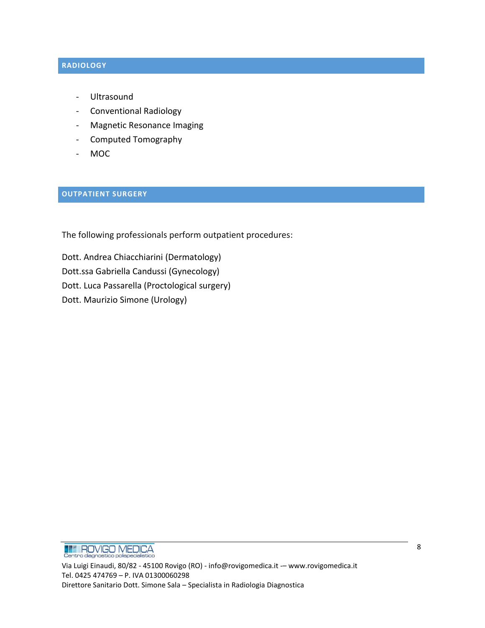# <span id="page-7-0"></span>**RADIOLOGY**

- Ultrasound
- Conventional Radiology
- Magnetic Resonance Imaging
- Computed Tomography
- MOC

# <span id="page-7-1"></span>**OUTPATIENT SURGERY**

The following professionals perform outpatient procedures:

Dott. Andrea Chiacchiarini (Dermatology) Dott.ssa Gabriella Candussi (Gynecology) Dott. Luca Passarella (Proctological surgery) Dott. Maurizio Simone (Urology)

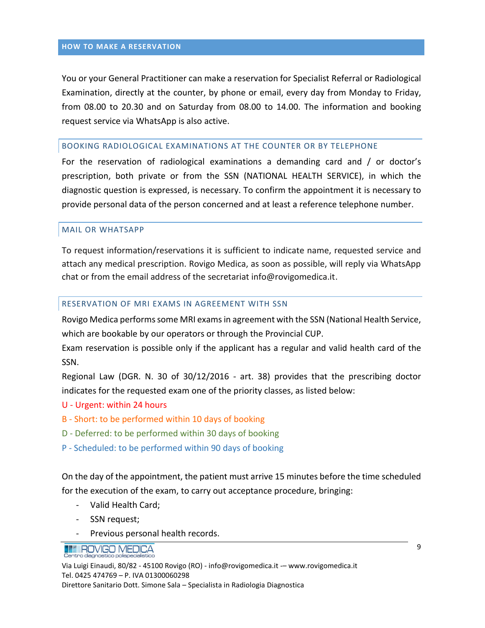<span id="page-8-0"></span>You or your General Practitioner can make a reservation for Specialist Referral or Radiological Examination, directly at the counter, by phone or email, every day from Monday to Friday, from 08.00 to 20.30 and on Saturday from 08.00 to 14.00. The information and booking request service via WhatsApp is also active.

## <span id="page-8-1"></span>BOOKING RADIOLOGICAL EXAMINATIONS AT THE COUNTER OR BY TELEPHONE

For the reservation of radiological examinations a demanding card and / or doctor's prescription, both private or from the SSN (NATIONAL HEALTH SERVICE), in which the diagnostic question is expressed, is necessary. To confirm the appointment it is necessary to provide personal data of the person concerned and at least a reference telephone number.

<span id="page-8-2"></span>MAIL OR WHATSAPP

To request information/reservations it is sufficient to indicate name, requested service and attach any medical prescription. Rovigo Medica, as soon as possible, will reply via WhatsApp chat or from the email address of the secretariat info@rovigomedica.it.

## <span id="page-8-3"></span>RESERVATION OF MRI EXAMS IN AGREEMENT WITH SSN

Rovigo Medica performssome MRI examsin agreement with the SSN (National Health Service, which are bookable by our operators or through the Provincial CUP.

Exam reservation is possible only if the applicant has a regular and valid health card of the SSN.

Regional Law (DGR. N. 30 of 30/12/2016 - art. 38) provides that the prescribing doctor indicates for the requested exam one of the priority classes, as listed below:

# U - Urgent: within 24 hours

- B Short: to be performed within 10 days of booking
- D Deferred: to be performed within 30 days of booking
- P Scheduled: to be performed within 90 days of booking

On the day of the appointment, the patient must arrive 15 minutes before the time scheduled for the execution of the exam, to carry out acceptance procedure, bringing:

- Valid Health Card;
- SSN request;
- Previous personal health records.

#### **THE ROVIGO MEDICA** Centro diagnostico polispecialis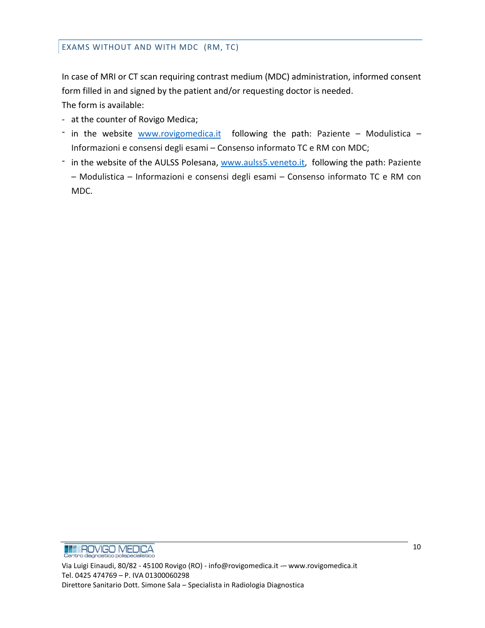# <span id="page-9-0"></span>EXAMS WITHOUT AND WITH MDC (RM, TC)

In case of MRI or CT scan requiring contrast medium (MDC) administration, informed consent form filled in and signed by the patient and/or requesting doctor is needed.

The form is available:

- at the counter of Rovigo Medica;
- in the website [www.rovigomedica.it](http://www.rovigomedica.it/) following the path: Paziente Modulistica Informazioni e consensi degli esami – Consenso informato TC e RM con MDC;
- in the website of the AULSS Polesana, [www.aulss5.veneto.it,](http://www.aulss5.veneto.it/) following the path: Paziente – Modulistica – Informazioni e consensi degli esami – Consenso informato TC e RM con MDC.

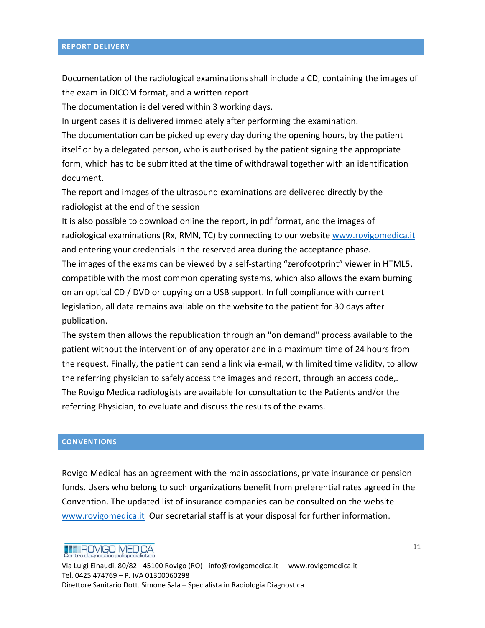<span id="page-10-0"></span>Documentation of the radiological examinations shall include a CD, containing the images of the exam in DICOM format, and a written report.

The documentation is delivered within 3 working days.

In urgent cases it is delivered immediately after performing the examination.

The documentation can be picked up every day during the opening hours, by the patient itself or by a delegated person, who is authorised by the patient signing the appropriate form, which has to be submitted at the time of withdrawal together with an identification document.

The report and images of the ultrasound examinations are delivered directly by the radiologist at the end of the session

It is also possible to download online the report, in pdf format, and the images of radiological examinations (Rx, RMN, TC) by connecting to our website [www.rovigomedica.it](http://www.rovigomedica.it/) and entering your credentials in the reserved area during the acceptance phase. The images of the exams can be viewed by a self-starting "zerofootprint" viewer in HTML5, compatible with the most common operating systems, which also allows the exam burning on an optical CD / DVD or copying on a USB support. In full compliance with current legislation, all data remains available on the website to the patient for 30 days after publication.

The system then allows the republication through an "on demand" process available to the patient without the intervention of any operator and in a maximum time of 24 hours from the request. Finally, the patient can send a link via e-mail, with limited time validity, to allow the referring physician to safely access the images and report, through an access code,. The Rovigo Medica radiologists are available for consultation to the Patients and/or the referring Physician, to evaluate and discuss the results of the exams.

## <span id="page-10-1"></span>**CONVENTIONS**

Rovigo Medical has an agreement with the main associations, private insurance or pension funds. Users who belong to such organizations benefit from preferential rates agreed in the Convention. The updated list of insurance companies can be consulted on the website [www.rovigomedica.it](http://www.rovigomedica.it/) Our secretarial staff is at your disposal for further information.

#### **THE ROVIGO MEDICA** Centro diagnostico polispecialist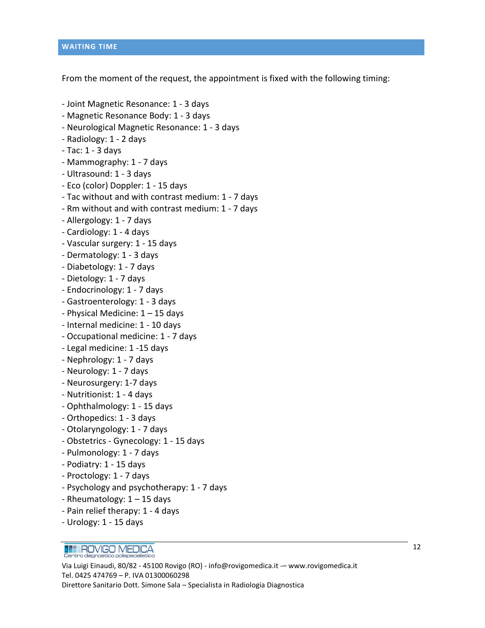<span id="page-11-0"></span>From the moment of the request, the appointment is fixed with the following timing:

- Joint Magnetic Resonance: 1 3 days
- Magnetic Resonance Body: 1 3 days
- Neurological Magnetic Resonance: 1 3 days
- Radiology: 1 2 days
- Tac: 1 3 days
- Mammography: 1 7 days
- Ultrasound: 1 3 days
- Eco (color) Doppler: 1 15 days
- Tac without and with contrast medium: 1 7 days
- Rm without and with contrast medium: 1 7 days
- Allergology: 1 7 days
- Cardiology: 1 4 days
- Vascular surgery: 1 15 days
- Dermatology: 1 3 days
- Diabetology: 1 7 days
- Dietology: 1 7 days
- Endocrinology: 1 7 days
- Gastroenterology: 1 3 days
- Physical Medicine: 1 15 days
- Internal medicine: 1 10 days
- Occupational medicine: 1 7 days
- Legal medicine: 1 -15 days
- Nephrology: 1 7 days
- Neurology: 1 7 days
- Neurosurgery: 1-7 days
- Nutritionist: 1 4 days
- Ophthalmology: 1 15 days
- Orthopedics: 1 3 days
- Otolaryngology: 1 7 days
- Obstetrics Gynecology: 1 15 days
- Pulmonology: 1 7 days
- Podiatry: 1 15 days
- Proctology: 1 7 days
- Psychology and psychotherapy: 1 7 days
- Rheumatology: 1 15 days
- Pain relief therapy: 1 4 days
- Urology: 1 15 days

#### **THEROVIGO MEDICA** Centro diagnostico polispecialist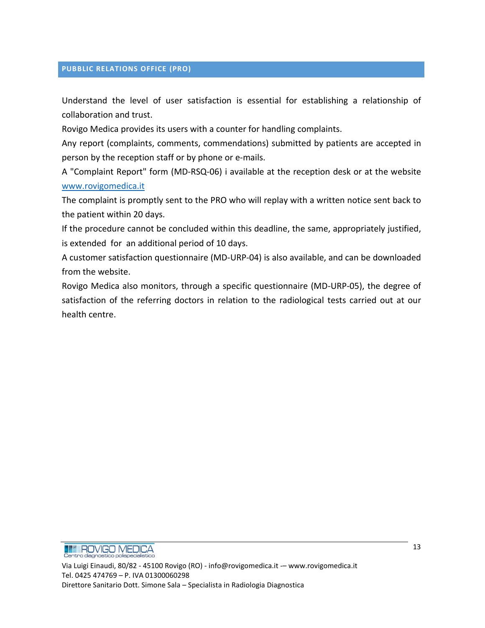# <span id="page-12-0"></span>**PUBBLIC RELATIONS OFFICE (PRO)**

Understand the level of user satisfaction is essential for establishing a relationship of collaboration and trust.

Rovigo Medica provides its users with a counter for handling complaints.

Any report (complaints, comments, commendations) submitted by patients are accepted in person by the reception staff or by phone or e-mails.

A "Complaint Report" form (MD-RSQ-06) i available at the reception desk or at the website [www.rovigomedica.it](http://www.rovigomedica.it/)

The complaint is promptly sent to the PRO who will replay with a written notice sent back to the patient within 20 days.

If the procedure cannot be concluded within this deadline, the same, appropriately justified, is extended for an additional period of 10 days.

A customer satisfaction questionnaire (MD-URP-04) is also available, and can be downloaded from the website.

Rovigo Medica also monitors, through a specific questionnaire (MD-URP-05), the degree of satisfaction of the referring doctors in relation to the radiological tests carried out at our health centre.

#### **THE ROVIGO MEDICA** Centro diagnostico polis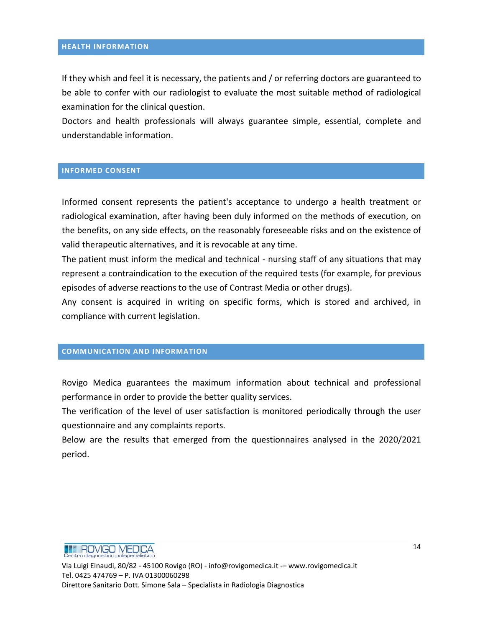<span id="page-13-0"></span>If they whish and feel it is necessary, the patients and / or referring doctors are guaranteed to be able to confer with our radiologist to evaluate the most suitable method of radiological examination for the clinical question.

Doctors and health professionals will always guarantee simple, essential, complete and understandable information.

# <span id="page-13-1"></span>**INFORMED CONSENT**

Informed consent represents the patient's acceptance to undergo a health treatment or radiological examination, after having been duly informed on the methods of execution, on the benefits, on any side effects, on the reasonably foreseeable risks and on the existence of valid therapeutic alternatives, and it is revocable at any time.

The patient must inform the medical and technical - nursing staff of any situations that may represent a contraindication to the execution of the required tests (for example, for previous episodes of adverse reactions to the use of Contrast Media or other drugs).

Any consent is acquired in writing on specific forms, which is stored and archived, in compliance with current legislation.

# <span id="page-13-2"></span>**COMMUNICATION AND INFORMATION**

Rovigo Medica guarantees the maximum information about technical and professional performance in order to provide the better quality services.

The verification of the level of user satisfaction is monitored periodically through the user questionnaire and any complaints reports.

Below are the results that emerged from the questionnaires analysed in the 2020/2021 period.

#### **THE ROVIGO MEDICA** Centro diagnostico polispecial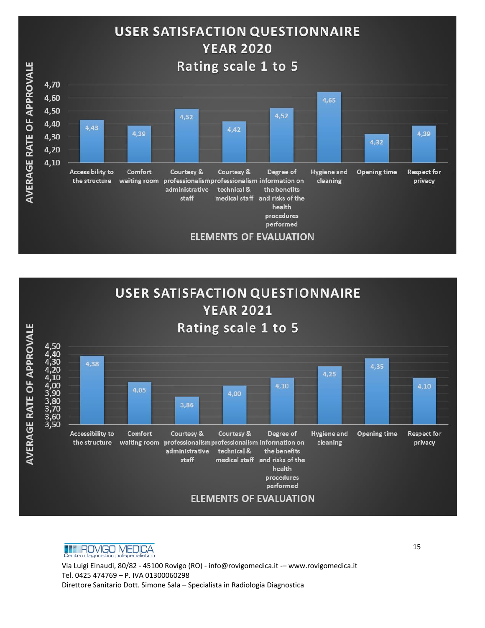



**THE ROVIGO MEDICA** Centro diagnostico pol

Via Luigi Einaudi, 80/82 - 45100 Rovigo (RO) - info@rovigomedica.it -– www.rovigomedica.it Tel. 0425 474769 – P. IVA 01300060298 Direttore Sanitario Dott. Simone Sala – Specialista in Radiologia Diagnostica

15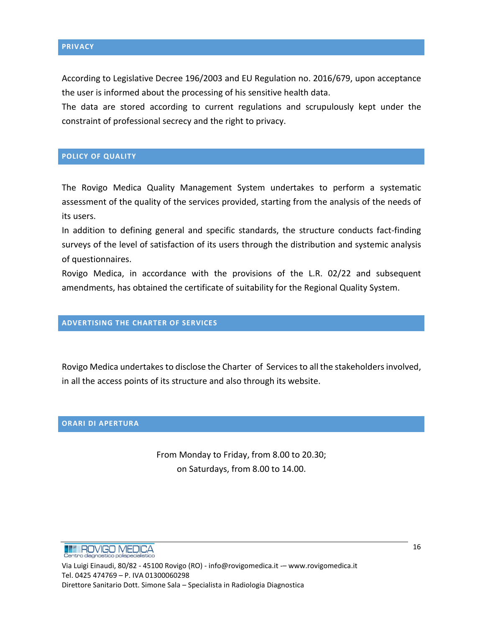<span id="page-15-0"></span>According to Legislative Decree 196/2003 and EU Regulation no. 2016/679, upon acceptance the user is informed about the processing of his sensitive health data.

The data are stored according to current regulations and scrupulously kept under the constraint of professional secrecy and the right to privacy.

## **POLICY OF QUALITY**

The Rovigo Medica Quality Management System undertakes to perform a systematic assessment of the quality of the services provided, starting from the analysis of the needs of its users.

In addition to defining general and specific standards, the structure conducts fact-finding surveys of the level of satisfaction of its users through the distribution and systemic analysis of questionnaires.

Rovigo Medica, in accordance with the provisions of the L.R. 02/22 and subsequent amendments, has obtained the certificate of suitability for the Regional Quality System.

## <span id="page-15-1"></span>**ADVERTISING THE CHARTER OF SERVICES**

Rovigo Medica undertakes to disclose the Charter of Services to all the stakeholders involved, in all the access points of its structure and also through its website.

### <span id="page-15-2"></span>**ORARI DI APERTURA**

From Monday to Friday, from 8.00 to 20.30; on Saturdays, from 8.00 to 14.00.

#### **THEROVIGO MEDICA** Centro diagnostico polispecialis